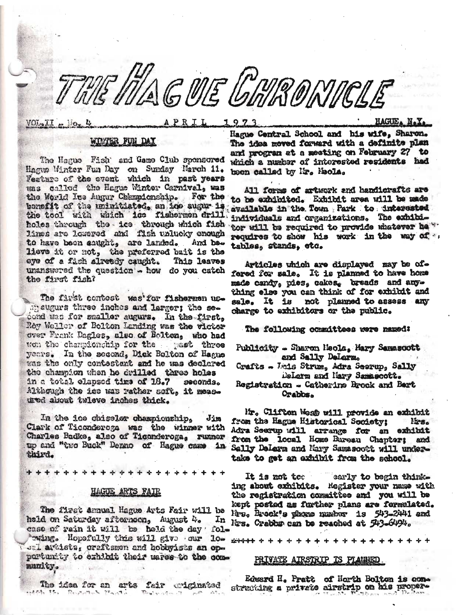WAGUE GARONICLE

# WINTER FUN DAY

The Hague Fish' and Game Club sponsored Hague Winter Fun Day on Sunday March 11. Feature of the event which in past years was called the Hague Winter Carnival, was the World Ice Augur Championship. For the bonefit of the unimitiated, an ice sugar is the tool with which ice fishermen drill holes through the ice through which fish lines are lowered and fish unlucky enough to have been caught, are landed. And ba. lieve it or not, the preferred buit is the eye of a fish already caught. This leaves unanswered the question - how do you catch the first fish?

The first contest was for fishermen usmaugurs three inches and larger; the second was for smaller augurs. In the first, Row Weller of Bolton Landing was the victor over Frank Dagles, also of Bolton, who had wen the championship for the past three years. In the second, Dick Bolton of Hague was the only contestant and he was declared the champion when he drilled three holes in a total elapsed time of 18.7 seconds. Although the ice was rather soft, it measured about twleve inches thick.

In the ice chiseler championship. Jim Clark of Ticonderega was the winner with Charles Badke, also of Ticonderoga, runner up and "two Buck" Dermo of Hague came in third.

\*\*\*\*\*\*\*\*\*\*

## HAGUE ARTS FAIR

The first annual Hague Arts Fair will be held on Saturday afternoon, August 4. case of rain it will be held the day folwing. Hopefully this will give our los An sal artists, craftsmen and hobbyists an opportunity to exhibit their wares to the communkty.

The idea for an arts fair wiginated sidets the Research Plants.

Hague Central School and his wife, Sharon. The idea moved forward with a definite plan and program at a meeting on February 27 to which a number of interested residents had been called by Mr. Meola.

HAGUE. N.Y.

All forms of artwork and handicrafts are to be exhibited. Exhibit area will be made available in the Town Park to interested individuals and organizations. The exhibitor will be required to provide whatever he " requires to show his work in the way of .. tables, stands, etc.

Articles which are displayed may be offered for sale. It is planned to have home made candy, pies, cakes, breads and anything else you can think of for exhibit and sale. It is not planned to assess any charge to exhibitors or the public.

The following committees were named:

Publicity - Sharon Neola, Mary Samascott and Sally Delarm.

Crafts - Leis Strum, Adra Seerup, Sally DeLarm and Mary Samascott.

Registration - Catherine Brook and Bert Orabbs.

Mr. Clifton West will provide an exhibit from the Hague Historical Society; Mrs. Adra Seerup will arrange for an exhibit Sally Delern and Mary Samssoct will undertake to get an axhibit from the school.

It is not too early to begin thinking about exhibits. Hegister your name with the registration committee and you will be kept posted as further plans are formulated. Mrs. Brock's phone number is 543-2441 and In Mrs. Crabbs can be reached at 543-6494.

Edward H. Pratt of North Bolton is comstrucking a private airstrip on his proper-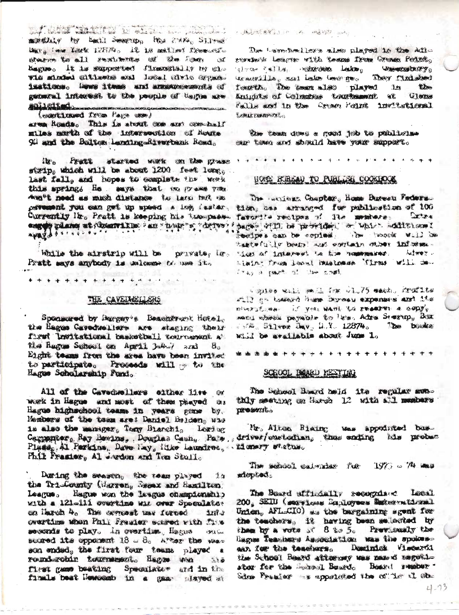and the whole the le other ... number monthly by Earl Seever, Has PAR, Silver Mar. . . . Your Louth 12074. It is mailer free ofstruction to all restriction of the four at Kague. It is supported flowerially by cl-The shooted citizens and local cirls oppanissticus. Howe items and announcements of general integest to the people of tagme are soliedted. .<br>Album adde del Sur ver de Santar del Vert i C'America .<br>The basic design to those you in comparison the model of a line of the

(continued from Page car)

area Honds. This is stout one and costhall miles narth of the lutersoution of Noute 91 and the Bolton Landing-Rivertank Road.

it's Prett started with on the grass strip, which will be about 1200 feet long, last fall, and hopes to complete the work this spring, He says that we rrass you. dent't need as mush distance to law tuit on percent you can get up speac a log faster, tien, has arranged for publication of 100 Currently Mr. Pratt is keeping his two-passang plane at deserville an "hope"s derver!

While the airstrip will be private, le-Pratt mays anybody is welcome to use it.

### THE CAVEINED ERS

\* \* \* \* \* \* \* *\* \* \* \* \* \** \* \*

Sponsored by inregay's Beachtront Hotel. the Bages Cavedwellers are staging their faret Invitational basketball touromoust at the Rugue School on April 1-4-7 and  $\mathbf{B}_{\alpha}$ Eight teams from the area have been invited to participate. Proceeds will to to the Hagus Scholarship Fund.

All of the Cavedwellers either live or work in Hague and most of them pasyed as Hague highschool teams in years game by. Members of the tonn are: Daniel Beloen, was is also the manager, Tany Blanchi, Loring Plase, Al Perkins, Dave Lay, like Laundres, tionary status. Phil Franter, Al warden and Tra Stull.

During the seasen, the team played in the Tri-County (Marren, Resex and Samilton) Learus. Hague was the laugus championship with a 121-111 overtime wit over Speculator on Haroh 4. The correst was fereed  $2273$ overtime when Phil Frasier scored with fine seconds to play. An overtime, Hagas ofthe Sea scared its opposent  $18 - 8$ . Aver the same son ended, the first four teams played a round-rottin tournament, Hanno asn  $200$ first game beating Speculate and in the finals beat Newcomb in a gas stared at

#### 人民民族主要管理人 10 万 网络短期 三十

The Levertheolick's also played in the Adio servinsk League with teams from Crome Point, theory of the compount lake the component of They fluished we move that we have been good fearth. The team also played in **them** Autubly of Columbia transforment at Glenne Falls and in the Groun Fount invitational EXMAX DENTESTIE

the team does a good job to publiciae our town and should have your support.

### HOTE MIRGAU TO PUBLICAL COOKHOOK

The LATINES Chapter, Home Bureau Federal. favorite restpes of the members: Extex pages will be provided or which additional we the moon an temporal and the senteed tastefully beams and contain other informa-"Less of intervent to the numerouses, between Liain: Fram leoul Dusinese Tirms Will de-John will be search in the country

· RISBO Will state in 1.75 mach. crossites Fill an Lateard hum Direau expenses are its NIMES CHAN IT YOU WANT TO ENAMETRE & GODTO send chees payable to les. After Seerop, Box  $1.7\%$ , 51,140x  $\lambda$ <sub>W</sub>y<sub>2</sub>, 1.Y. 12874. The business whil be available about Jum 1.

\*\*\*\*\*\*\*\*\*\*\*\*\*\*\*\*\*\*\*\*\*\*

#### SCHOOL BOARD MESTING

The School Board held its regular monthly meeting on Harph 12 with all members peroseration

Mr. Almon Riaing was appointed bas. Carpenter, Ray Bevins, Douglas Cash, Pate, driver/custodian, thus conting his probect

> The school calmids for 1973 - 74 mas **Adopted.**

The Board affinished recognized Local 200. SEIU (seavitous Banloyees Detectortional Union, AFL-CIO) as the bargaining sgent for the teachers, it having been selected by then by a vota at 8 to 5. Previously the Ragnes Teaminers Association was the spokesaan for the teachers. Dominick Viscorti the School Beard attorney was mand ungothstor for the Second Board. Board remove. Sime Prester is appointed the city it it ab-

 $4 - 13$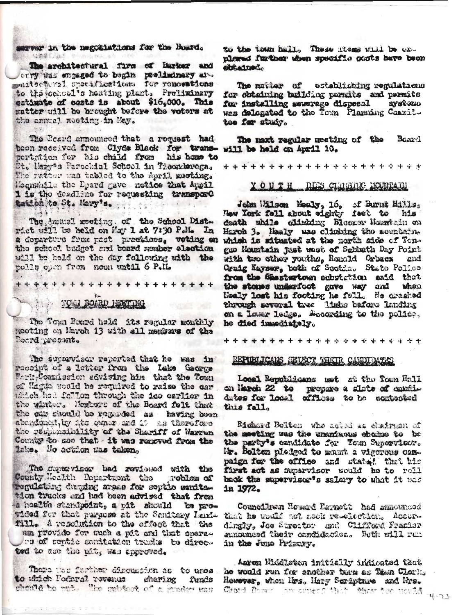server in the negotiations for the Board. **CONSTRACT** 

The architectural firm of Barker and orry was engaged to begin preliminary and maitecteral specifications for renewations to the concol's heating plant. Preliminary estimate of costs is about \$16,000. This matter will be brought before the voters at the annual reeting in May.

The Beard announced that a request had boon recolved from Clyde Black for transpertation for his child from his home to St. Mary's Parochial School in Ticonderega. The ratter was tabled to the April meeting. Mognahile the Dpard gave notice that Appil 1 is the deadline for requesting transport tation to St. Mary's.

The Ammal meeting of the School Dist. wict will be held on May 1 at 7:30 P.M. In a doparturo from post practices, voting on the school budget and beard member election will be held on the day following with the polls open from noon until 6 P.M.

# TOU BOARD ISSTING

The Town Roard held its regular monthly meeting on March 13 with all members of the Ponrd procent.

The supprvisor reported that he was in receipt of a letter from the Lake George Park Commission sevising him that the Town of Hagda would be required to raise the car which had fellon through the ice earlier in the winter. Hembers of the Board foll that the car should be regarded as having been abanduptly by its owner and it as therefore the responsibility of the Sheriff of Warren County to see that it was renoved from the Lake. No action was taken.

The museviser had reviewed with the County Mealth Department the roblem of regulating deping areas for sertie sanitation trucks and had been advised that from a hoalth stendpoint, a pit should be provided for that purpose at the Sanitery Lend. fill. A resolution to the cifect that the um provido for such a più ani that opera.

pe of septie somitation trudes to directed to ase the pit, was approved.

There was further discussion as to uses to which Foderal revenue sharing Tunds should be rut. The mb took of a musicr was to the town hall. These items will be onnlored further when specific ousts have been obtained.

The matter of establishing regulations for obtaining building pormits and permits for installing soverage dispesal **Systomo** was delegated to the Town Plaming Commit. toe for study.

Board The next regular meeting of the will be held on April 10.

\*\*\*\*\*\*\*\*\*\*\*\*\*\*\*\*\*\*\*\*\*\*

# YOUTH DIES CLUBLIC ROUTAIN

John Wilson Mealy, 16, of Burnt Hills,<br>New York fell about eighty feet to his death while climbing Bloomer Mountain on Haroh 3. Healy was climbing the mountain, which is situated at the north side of Tongue Hountain just west of Sabbath Day Point with two other youths, Romald Orbacs and Craig Kayser, both of Sootda. State Police from the Shestertown aubutation anid that the stones underfoot gave way and Maon Healy lost his footing he fell. He crashed through several tree Habs bafore landing on a lower ledge. Mocording to the police. he died immediately.

\*\*\*\*\*\*\*\*\*\*\*\*\*\*\*\*\*\*\*\*\*\*

# REPUBLICANS SELECT THATR CANDIDATES

Local Republicans met at the Town Hall on Narch 22 to propare a slate of candidates for local effices to be contested this fall.

Richard Bolton who acted as chairmen of the meeting was the unaniwous choice to be the party's candidate for Tom Supervicer. Mr. Bolton pledged to mant a vigorous campaign for the office and state? that his first act as reparvisor would be to roll back the supervisor's salary to what it was in 1972.

Councilman Housed Estwott had announced that he would not nook resolection. Accordingly, Joe Streeter and Clifford Prasier announced their onndidector. Both will run in the June Primary.

Anron Middleton initially indicated that he would run for enother tarm as Tean Clerk. However, when Mrs. Mary Seripture and Mrs. Chard Down consumed: this there for nould